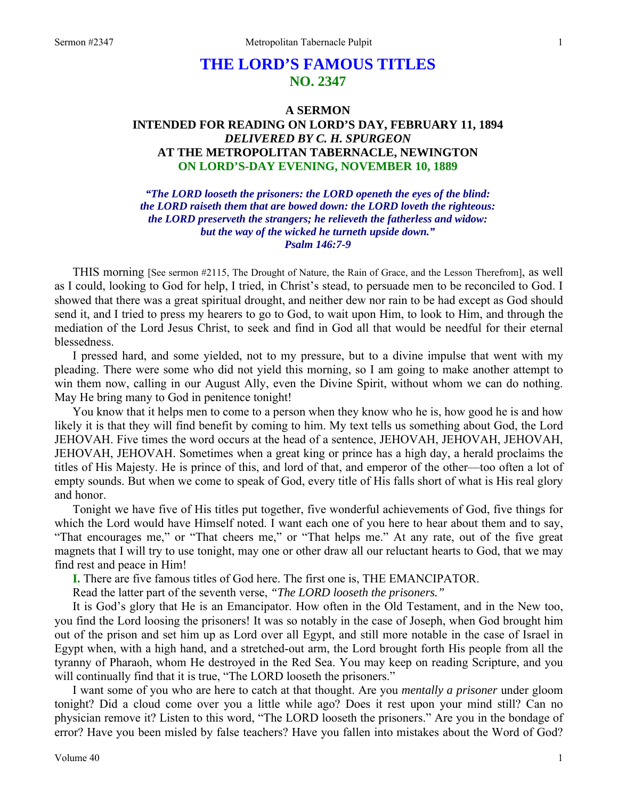# **THE LORD'S FAMOUS TITLES NO. 2347**

# **A SERMON INTENDED FOR READING ON LORD'S DAY, FEBRUARY 11, 1894**  *DELIVERED BY C. H. SPURGEON*  **AT THE METROPOLITAN TABERNACLE, NEWINGTON ON LORD'S-DAY EVENING, NOVEMBER 10, 1889**

*"The LORD looseth the prisoners: the LORD openeth the eyes of the blind: the LORD raiseth them that are bowed down: the LORD loveth the righteous: the LORD preserveth the strangers; he relieveth the fatherless and widow: but the way of the wicked he turneth upside down." Psalm 146:7-9* 

THIS morning [See sermon #2115, The Drought of Nature, the Rain of Grace, and the Lesson Therefrom], as well as I could, looking to God for help, I tried, in Christ's stead, to persuade men to be reconciled to God. I showed that there was a great spiritual drought, and neither dew nor rain to be had except as God should send it, and I tried to press my hearers to go to God, to wait upon Him, to look to Him, and through the mediation of the Lord Jesus Christ, to seek and find in God all that would be needful for their eternal blessedness.

I pressed hard, and some yielded, not to my pressure, but to a divine impulse that went with my pleading. There were some who did not yield this morning, so I am going to make another attempt to win them now, calling in our August Ally, even the Divine Spirit, without whom we can do nothing. May He bring many to God in penitence tonight!

You know that it helps men to come to a person when they know who he is, how good he is and how likely it is that they will find benefit by coming to him. My text tells us something about God, the Lord JEHOVAH. Five times the word occurs at the head of a sentence, JEHOVAH, JEHOVAH, JEHOVAH, JEHOVAH, JEHOVAH. Sometimes when a great king or prince has a high day, a herald proclaims the titles of His Majesty. He is prince of this, and lord of that, and emperor of the other—too often a lot of empty sounds. But when we come to speak of God, every title of His falls short of what is His real glory and honor.

Tonight we have five of His titles put together, five wonderful achievements of God, five things for which the Lord would have Himself noted. I want each one of you here to hear about them and to say, "That encourages me," or "That cheers me," or "That helps me." At any rate, out of the five great magnets that I will try to use tonight, may one or other draw all our reluctant hearts to God, that we may find rest and peace in Him!

**I.** There are five famous titles of God here. The first one is, THE EMANCIPATOR.

Read the latter part of the seventh verse, *"The LORD looseth the prisoners."* 

It is God's glory that He is an Emancipator. How often in the Old Testament, and in the New too, you find the Lord loosing the prisoners! It was so notably in the case of Joseph, when God brought him out of the prison and set him up as Lord over all Egypt, and still more notable in the case of Israel in Egypt when, with a high hand, and a stretched-out arm, the Lord brought forth His people from all the tyranny of Pharaoh, whom He destroyed in the Red Sea. You may keep on reading Scripture, and you will continually find that it is true, "The LORD looseth the prisoners."

I want some of you who are here to catch at that thought. Are you *mentally a prisoner* under gloom tonight? Did a cloud come over you a little while ago? Does it rest upon your mind still? Can no physician remove it? Listen to this word, "The LORD looseth the prisoners." Are you in the bondage of error? Have you been misled by false teachers? Have you fallen into mistakes about the Word of God?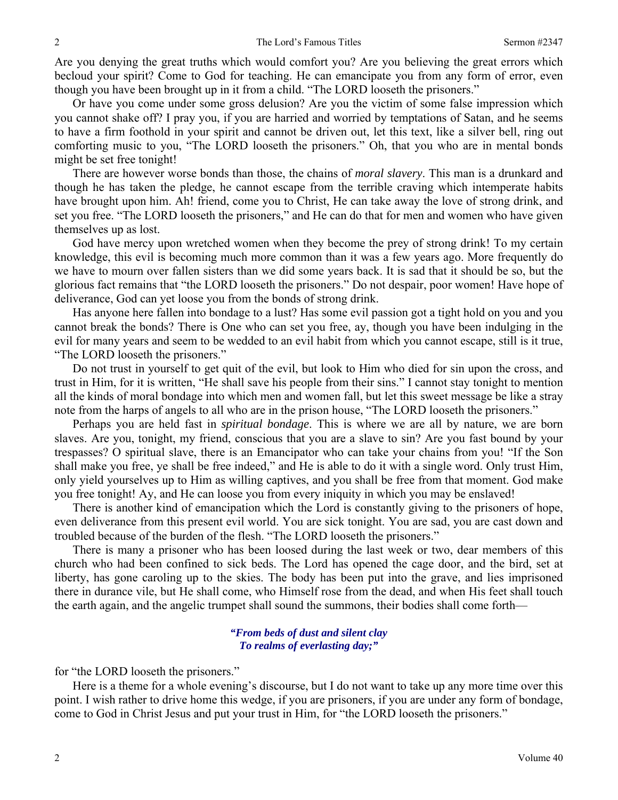Are you denying the great truths which would comfort you? Are you believing the great errors which becloud your spirit? Come to God for teaching. He can emancipate you from any form of error, even though you have been brought up in it from a child. "The LORD looseth the prisoners."

Or have you come under some gross delusion? Are you the victim of some false impression which you cannot shake off? I pray you, if you are harried and worried by temptations of Satan, and he seems to have a firm foothold in your spirit and cannot be driven out, let this text, like a silver bell, ring out comforting music to you, "The LORD looseth the prisoners." Oh, that you who are in mental bonds might be set free tonight!

There are however worse bonds than those, the chains of *moral slavery*. This man is a drunkard and though he has taken the pledge, he cannot escape from the terrible craving which intemperate habits have brought upon him. Ah! friend, come you to Christ, He can take away the love of strong drink, and set you free. "The LORD looseth the prisoners," and He can do that for men and women who have given themselves up as lost.

God have mercy upon wretched women when they become the prey of strong drink! To my certain knowledge, this evil is becoming much more common than it was a few years ago. More frequently do we have to mourn over fallen sisters than we did some years back. It is sad that it should be so, but the glorious fact remains that "the LORD looseth the prisoners." Do not despair, poor women! Have hope of deliverance, God can yet loose you from the bonds of strong drink.

Has anyone here fallen into bondage to a lust? Has some evil passion got a tight hold on you and you cannot break the bonds? There is One who can set you free, ay, though you have been indulging in the evil for many years and seem to be wedded to an evil habit from which you cannot escape, still is it true, "The LORD looseth the prisoners."

Do not trust in yourself to get quit of the evil, but look to Him who died for sin upon the cross, and trust in Him, for it is written, "He shall save his people from their sins." I cannot stay tonight to mention all the kinds of moral bondage into which men and women fall, but let this sweet message be like a stray note from the harps of angels to all who are in the prison house, "The LORD looseth the prisoners."

Perhaps you are held fast in *spiritual bondage*. This is where we are all by nature, we are born slaves. Are you, tonight, my friend, conscious that you are a slave to sin? Are you fast bound by your trespasses? O spiritual slave, there is an Emancipator who can take your chains from you! "If the Son shall make you free, ye shall be free indeed," and He is able to do it with a single word. Only trust Him, only yield yourselves up to Him as willing captives, and you shall be free from that moment. God make you free tonight! Ay, and He can loose you from every iniquity in which you may be enslaved!

There is another kind of emancipation which the Lord is constantly giving to the prisoners of hope, even deliverance from this present evil world. You are sick tonight. You are sad, you are cast down and troubled because of the burden of the flesh. "The LORD looseth the prisoners."

There is many a prisoner who has been loosed during the last week or two, dear members of this church who had been confined to sick beds. The Lord has opened the cage door, and the bird, set at liberty, has gone caroling up to the skies. The body has been put into the grave, and lies imprisoned there in durance vile, but He shall come, who Himself rose from the dead, and when His feet shall touch the earth again, and the angelic trumpet shall sound the summons, their bodies shall come forth—

#### *"From beds of dust and silent clay To realms of everlasting day;"*

for "the LORD looseth the prisoners."

Here is a theme for a whole evening's discourse, but I do not want to take up any more time over this point. I wish rather to drive home this wedge, if you are prisoners, if you are under any form of bondage, come to God in Christ Jesus and put your trust in Him, for "the LORD looseth the prisoners."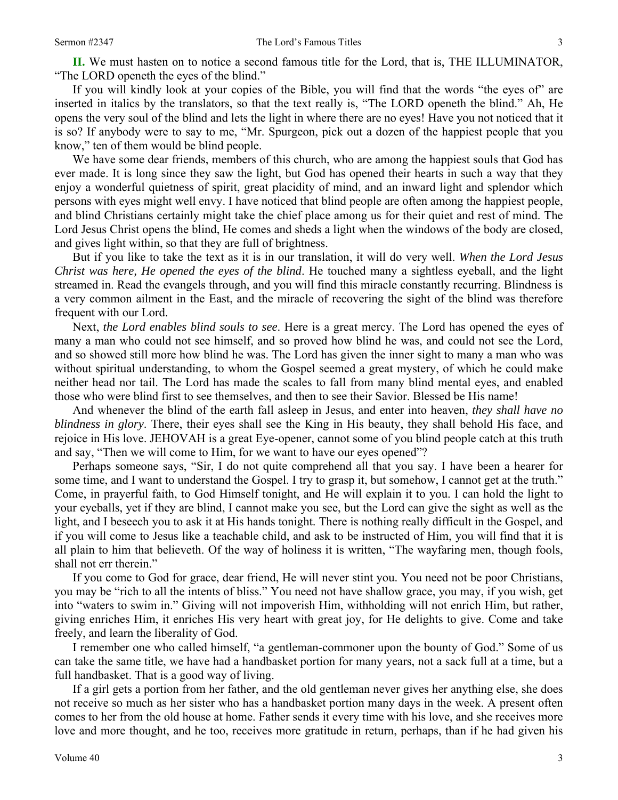**II.** We must hasten on to notice a second famous title for the Lord, that is, THE ILLUMINATOR, "The LORD openeth the eyes of the blind."

If you will kindly look at your copies of the Bible, you will find that the words "the eyes of" are inserted in italics by the translators, so that the text really is, "The LORD openeth the blind." Ah, He opens the very soul of the blind and lets the light in where there are no eyes! Have you not noticed that it is so? If anybody were to say to me, "Mr. Spurgeon, pick out a dozen of the happiest people that you know," ten of them would be blind people.

We have some dear friends, members of this church, who are among the happiest souls that God has ever made. It is long since they saw the light, but God has opened their hearts in such a way that they enjoy a wonderful quietness of spirit, great placidity of mind, and an inward light and splendor which persons with eyes might well envy. I have noticed that blind people are often among the happiest people, and blind Christians certainly might take the chief place among us for their quiet and rest of mind. The Lord Jesus Christ opens the blind, He comes and sheds a light when the windows of the body are closed, and gives light within, so that they are full of brightness.

But if you like to take the text as it is in our translation, it will do very well. *When the Lord Jesus Christ was here, He opened the eyes of the blind*. He touched many a sightless eyeball, and the light streamed in. Read the evangels through, and you will find this miracle constantly recurring. Blindness is a very common ailment in the East, and the miracle of recovering the sight of the blind was therefore frequent with our Lord.

Next, *the Lord enables blind souls to see*. Here is a great mercy. The Lord has opened the eyes of many a man who could not see himself, and so proved how blind he was, and could not see the Lord, and so showed still more how blind he was. The Lord has given the inner sight to many a man who was without spiritual understanding, to whom the Gospel seemed a great mystery, of which he could make neither head nor tail. The Lord has made the scales to fall from many blind mental eyes, and enabled those who were blind first to see themselves, and then to see their Savior. Blessed be His name!

And whenever the blind of the earth fall asleep in Jesus, and enter into heaven, *they shall have no blindness in glory*. There, their eyes shall see the King in His beauty, they shall behold His face, and rejoice in His love. JEHOVAH is a great Eye-opener, cannot some of you blind people catch at this truth and say, "Then we will come to Him, for we want to have our eyes opened"?

Perhaps someone says, "Sir, I do not quite comprehend all that you say. I have been a hearer for some time, and I want to understand the Gospel. I try to grasp it, but somehow, I cannot get at the truth." Come, in prayerful faith, to God Himself tonight, and He will explain it to you. I can hold the light to your eyeballs, yet if they are blind, I cannot make you see, but the Lord can give the sight as well as the light, and I beseech you to ask it at His hands tonight. There is nothing really difficult in the Gospel, and if you will come to Jesus like a teachable child, and ask to be instructed of Him, you will find that it is all plain to him that believeth. Of the way of holiness it is written, "The wayfaring men, though fools, shall not err therein."

If you come to God for grace, dear friend, He will never stint you. You need not be poor Christians, you may be "rich to all the intents of bliss." You need not have shallow grace, you may, if you wish, get into "waters to swim in." Giving will not impoverish Him, withholding will not enrich Him, but rather, giving enriches Him, it enriches His very heart with great joy, for He delights to give. Come and take freely, and learn the liberality of God.

I remember one who called himself, "a gentleman-commoner upon the bounty of God." Some of us can take the same title, we have had a handbasket portion for many years, not a sack full at a time, but a full handbasket. That is a good way of living.

If a girl gets a portion from her father, and the old gentleman never gives her anything else, she does not receive so much as her sister who has a handbasket portion many days in the week. A present often comes to her from the old house at home. Father sends it every time with his love, and she receives more love and more thought, and he too, receives more gratitude in return, perhaps, than if he had given his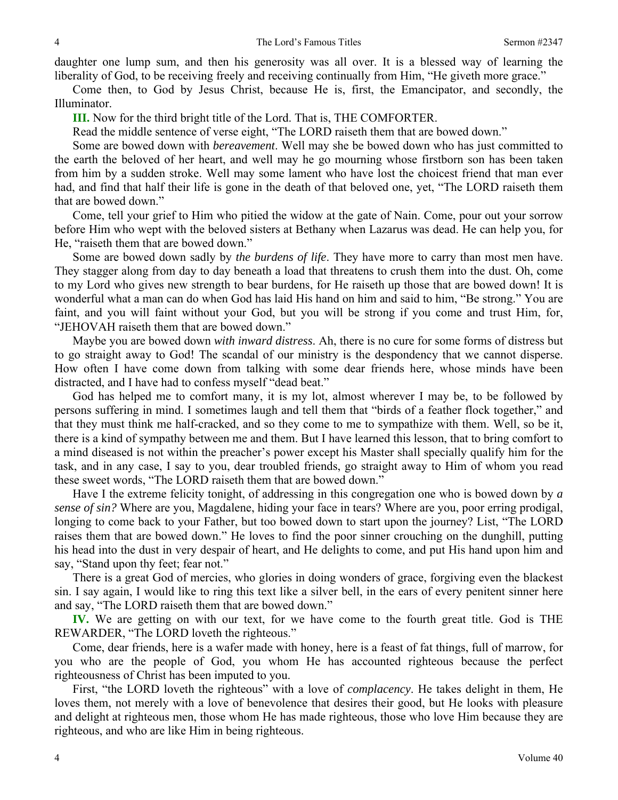daughter one lump sum, and then his generosity was all over. It is a blessed way of learning the liberality of God, to be receiving freely and receiving continually from Him, "He giveth more grace."

Come then, to God by Jesus Christ, because He is, first, the Emancipator, and secondly, the Illuminator.

**III.** Now for the third bright title of the Lord. That is, THE COMFORTER.

Read the middle sentence of verse eight, "The LORD raiseth them that are bowed down."

Some are bowed down with *bereavement*. Well may she be bowed down who has just committed to the earth the beloved of her heart, and well may he go mourning whose firstborn son has been taken from him by a sudden stroke. Well may some lament who have lost the choicest friend that man ever had, and find that half their life is gone in the death of that beloved one, yet, "The LORD raiseth them that are bowed down."

Come, tell your grief to Him who pitied the widow at the gate of Nain. Come, pour out your sorrow before Him who wept with the beloved sisters at Bethany when Lazarus was dead. He can help you, for He, "raiseth them that are bowed down."

Some are bowed down sadly by *the burdens of life*. They have more to carry than most men have. They stagger along from day to day beneath a load that threatens to crush them into the dust. Oh, come to my Lord who gives new strength to bear burdens, for He raiseth up those that are bowed down! It is wonderful what a man can do when God has laid His hand on him and said to him, "Be strong." You are faint, and you will faint without your God, but you will be strong if you come and trust Him, for, "JEHOVAH raiseth them that are bowed down."

Maybe you are bowed down *with inward distress*. Ah, there is no cure for some forms of distress but to go straight away to God! The scandal of our ministry is the despondency that we cannot disperse. How often I have come down from talking with some dear friends here, whose minds have been distracted, and I have had to confess myself "dead beat."

God has helped me to comfort many, it is my lot, almost wherever I may be, to be followed by persons suffering in mind. I sometimes laugh and tell them that "birds of a feather flock together," and that they must think me half-cracked, and so they come to me to sympathize with them. Well, so be it, there is a kind of sympathy between me and them. But I have learned this lesson, that to bring comfort to a mind diseased is not within the preacher's power except his Master shall specially qualify him for the task, and in any case, I say to you, dear troubled friends, go straight away to Him of whom you read these sweet words, "The LORD raiseth them that are bowed down."

Have I the extreme felicity tonight, of addressing in this congregation one who is bowed down by *a sense of sin?* Where are you, Magdalene, hiding your face in tears? Where are you, poor erring prodigal, longing to come back to your Father, but too bowed down to start upon the journey? List, "The LORD raises them that are bowed down." He loves to find the poor sinner crouching on the dunghill, putting his head into the dust in very despair of heart, and He delights to come, and put His hand upon him and say, "Stand upon thy feet; fear not."

There is a great God of mercies, who glories in doing wonders of grace, forgiving even the blackest sin. I say again, I would like to ring this text like a silver bell, in the ears of every penitent sinner here and say, "The LORD raiseth them that are bowed down."

**IV.** We are getting on with our text, for we have come to the fourth great title. God is THE REWARDER, "The LORD loveth the righteous."

Come, dear friends, here is a wafer made with honey, here is a feast of fat things, full of marrow, for you who are the people of God, you whom He has accounted righteous because the perfect righteousness of Christ has been imputed to you.

First, "the LORD loveth the righteous" with a love of *complacency*. He takes delight in them, He loves them, not merely with a love of benevolence that desires their good, but He looks with pleasure and delight at righteous men, those whom He has made righteous, those who love Him because they are righteous, and who are like Him in being righteous.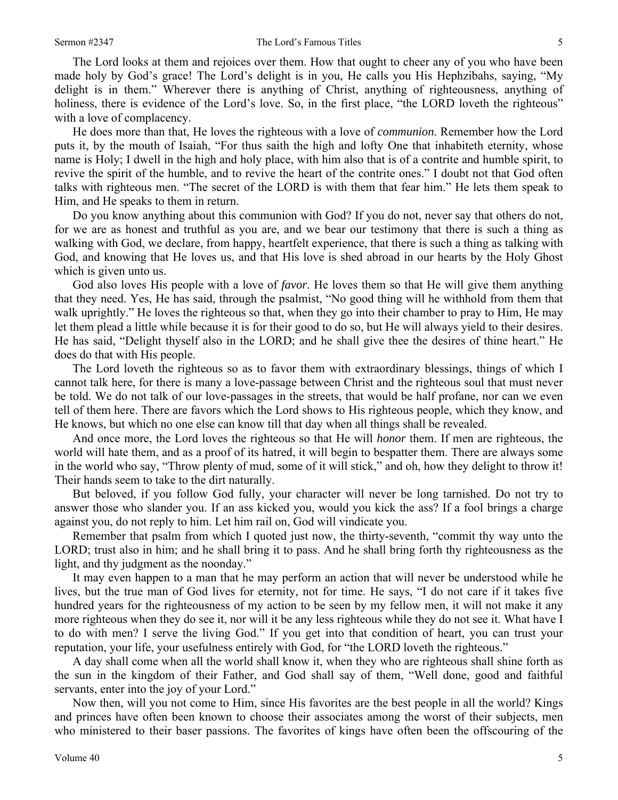The Lord looks at them and rejoices over them. How that ought to cheer any of you who have been made holy by God's grace! The Lord's delight is in you, He calls you His Hephzibahs, saying, "My delight is in them." Wherever there is anything of Christ, anything of righteousness, anything of holiness, there is evidence of the Lord's love. So, in the first place, "the LORD loveth the righteous" with a love of complacency.

He does more than that, He loves the righteous with a love of *communion*. Remember how the Lord puts it, by the mouth of Isaiah, "For thus saith the high and lofty One that inhabiteth eternity, whose name is Holy; I dwell in the high and holy place, with him also that is of a contrite and humble spirit, to revive the spirit of the humble, and to revive the heart of the contrite ones." I doubt not that God often talks with righteous men. "The secret of the LORD is with them that fear him." He lets them speak to Him, and He speaks to them in return.

Do you know anything about this communion with God? If you do not, never say that others do not, for we are as honest and truthful as you are, and we bear our testimony that there is such a thing as walking with God, we declare, from happy, heartfelt experience, that there is such a thing as talking with God, and knowing that He loves us, and that His love is shed abroad in our hearts by the Holy Ghost which is given unto us.

God also loves His people with a love of *favor*. He loves them so that He will give them anything that they need. Yes, He has said, through the psalmist, "No good thing will he withhold from them that walk uprightly." He loves the righteous so that, when they go into their chamber to pray to Him, He may let them plead a little while because it is for their good to do so, but He will always yield to their desires. He has said, "Delight thyself also in the LORD; and he shall give thee the desires of thine heart." He does do that with His people.

The Lord loveth the righteous so as to favor them with extraordinary blessings, things of which I cannot talk here, for there is many a love-passage between Christ and the righteous soul that must never be told. We do not talk of our love-passages in the streets, that would be half profane, nor can we even tell of them here. There are favors which the Lord shows to His righteous people, which they know, and He knows, but which no one else can know till that day when all things shall be revealed.

And once more, the Lord loves the righteous so that He will *honor* them. If men are righteous, the world will hate them, and as a proof of its hatred, it will begin to bespatter them. There are always some in the world who say, "Throw plenty of mud, some of it will stick," and oh, how they delight to throw it! Their hands seem to take to the dirt naturally.

But beloved, if you follow God fully, your character will never be long tarnished. Do not try to answer those who slander you. If an ass kicked you, would you kick the ass? If a fool brings a charge against you, do not reply to him. Let him rail on, God will vindicate you.

Remember that psalm from which I quoted just now, the thirty-seventh, "commit thy way unto the LORD; trust also in him; and he shall bring it to pass. And he shall bring forth thy righteousness as the light, and thy judgment as the noonday."

It may even happen to a man that he may perform an action that will never be understood while he lives, but the true man of God lives for eternity, not for time. He says, "I do not care if it takes five hundred years for the righteousness of my action to be seen by my fellow men, it will not make it any more righteous when they do see it, nor will it be any less righteous while they do not see it. What have I to do with men? I serve the living God." If you get into that condition of heart, you can trust your reputation, your life, your usefulness entirely with God, for "the LORD loveth the righteous."

A day shall come when all the world shall know it, when they who are righteous shall shine forth as the sun in the kingdom of their Father, and God shall say of them, "Well done, good and faithful servants, enter into the joy of your Lord."

Now then, will you not come to Him, since His favorites are the best people in all the world? Kings and princes have often been known to choose their associates among the worst of their subjects, men who ministered to their baser passions. The favorites of kings have often been the offscouring of the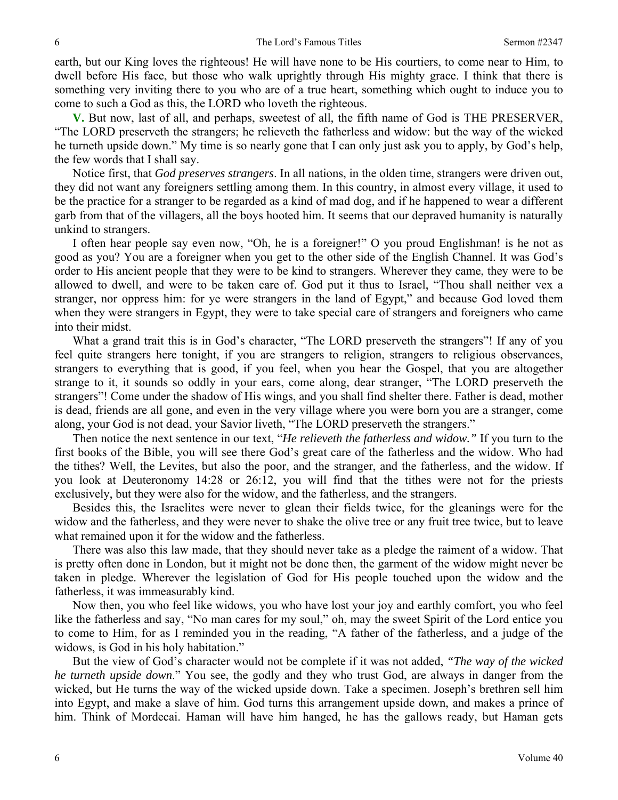earth, but our King loves the righteous! He will have none to be His courtiers, to come near to Him, to dwell before His face, but those who walk uprightly through His mighty grace. I think that there is something very inviting there to you who are of a true heart, something which ought to induce you to come to such a God as this, the LORD who loveth the righteous.

**V.** But now, last of all, and perhaps, sweetest of all, the fifth name of God is THE PRESERVER, "The LORD preserveth the strangers; he relieveth the fatherless and widow: but the way of the wicked he turneth upside down." My time is so nearly gone that I can only just ask you to apply, by God's help, the few words that I shall say.

Notice first, that *God preserves strangers*. In all nations, in the olden time, strangers were driven out, they did not want any foreigners settling among them. In this country, in almost every village, it used to be the practice for a stranger to be regarded as a kind of mad dog, and if he happened to wear a different garb from that of the villagers, all the boys hooted him. It seems that our depraved humanity is naturally unkind to strangers.

I often hear people say even now, "Oh, he is a foreigner!" O you proud Englishman! is he not as good as you? You are a foreigner when you get to the other side of the English Channel. It was God's order to His ancient people that they were to be kind to strangers. Wherever they came, they were to be allowed to dwell, and were to be taken care of. God put it thus to Israel, "Thou shall neither vex a stranger, nor oppress him: for ye were strangers in the land of Egypt," and because God loved them when they were strangers in Egypt, they were to take special care of strangers and foreigners who came into their midst.

What a grand trait this is in God's character, "The LORD preserveth the strangers"! If any of you feel quite strangers here tonight, if you are strangers to religion, strangers to religious observances, strangers to everything that is good, if you feel, when you hear the Gospel, that you are altogether strange to it, it sounds so oddly in your ears, come along, dear stranger, "The LORD preserveth the strangers"! Come under the shadow of His wings, and you shall find shelter there. Father is dead, mother is dead, friends are all gone, and even in the very village where you were born you are a stranger, come along, your God is not dead, your Savior liveth, "The LORD preserveth the strangers."

Then notice the next sentence in our text, "*He relieveth the fatherless and widow."* If you turn to the first books of the Bible, you will see there God's great care of the fatherless and the widow. Who had the tithes? Well, the Levites, but also the poor, and the stranger, and the fatherless, and the widow. If you look at Deuteronomy 14:28 or 26:12, you will find that the tithes were not for the priests exclusively, but they were also for the widow, and the fatherless, and the strangers.

Besides this, the Israelites were never to glean their fields twice, for the gleanings were for the widow and the fatherless, and they were never to shake the olive tree or any fruit tree twice, but to leave what remained upon it for the widow and the fatherless.

There was also this law made, that they should never take as a pledge the raiment of a widow. That is pretty often done in London, but it might not be done then, the garment of the widow might never be taken in pledge. Wherever the legislation of God for His people touched upon the widow and the fatherless, it was immeasurably kind.

Now then, you who feel like widows, you who have lost your joy and earthly comfort, you who feel like the fatherless and say, "No man cares for my soul," oh, may the sweet Spirit of the Lord entice you to come to Him, for as I reminded you in the reading, "A father of the fatherless, and a judge of the widows, is God in his holy habitation."

But the view of God's character would not be complete if it was not added, *"The way of the wicked he turneth upside down*." You see, the godly and they who trust God, are always in danger from the wicked, but He turns the way of the wicked upside down. Take a specimen. Joseph's brethren sell him into Egypt, and make a slave of him. God turns this arrangement upside down, and makes a prince of him. Think of Mordecai. Haman will have him hanged, he has the gallows ready, but Haman gets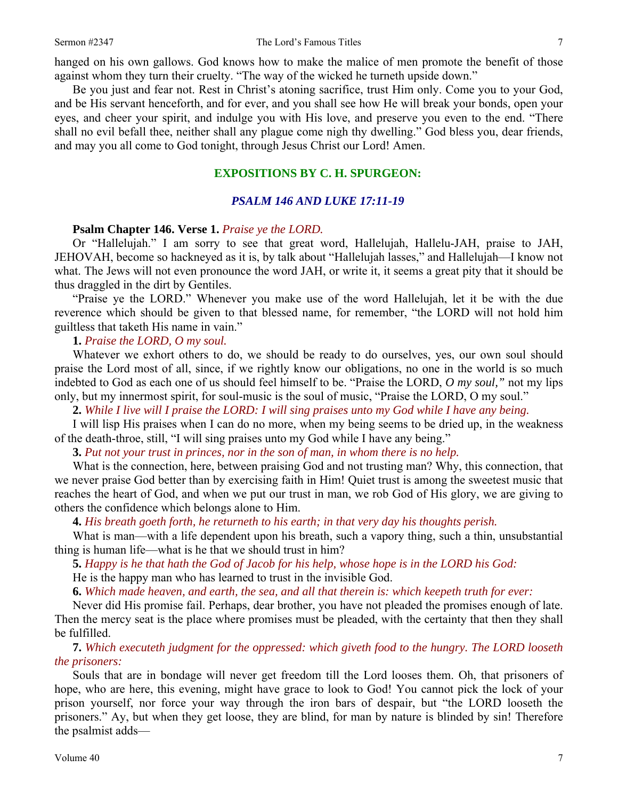hanged on his own gallows. God knows how to make the malice of men promote the benefit of those against whom they turn their cruelty. "The way of the wicked he turneth upside down."

Be you just and fear not. Rest in Christ's atoning sacrifice, trust Him only. Come you to your God, and be His servant henceforth, and for ever, and you shall see how He will break your bonds, open your eyes, and cheer your spirit, and indulge you with His love, and preserve you even to the end. "There shall no evil befall thee, neither shall any plague come nigh thy dwelling." God bless you, dear friends, and may you all come to God tonight, through Jesus Christ our Lord! Amen.

#### **EXPOSITIONS BY C. H. SPURGEON:**

## *PSALM 146 AND LUKE 17:11-19*

#### **Psalm Chapter 146. Verse 1.** *Praise ye the LORD***.**

Or "Hallelujah." I am sorry to see that great word, Hallelujah, Hallelu-JAH, praise to JAH, JEHOVAH, become so hackneyed as it is, by talk about "Hallelujah lasses," and Hallelujah—I know not what. The Jews will not even pronounce the word JAH, or write it, it seems a great pity that it should be thus draggled in the dirt by Gentiles.

"Praise ye the LORD." Whenever you make use of the word Hallelujah, let it be with the due reverence which should be given to that blessed name, for remember, "the LORD will not hold him guiltless that taketh His name in vain."

#### **1.** *Praise the LORD, O my soul.*

Whatever we exhort others to do, we should be ready to do ourselves, yes, our own soul should praise the Lord most of all, since, if we rightly know our obligations, no one in the world is so much indebted to God as each one of us should feel himself to be. "Praise the LORD, *O my soul,"* not my lips only, but my innermost spirit, for soul-music is the soul of music, "Praise the LORD, O my soul."

**2.** *While I live will I praise the LORD: I will sing praises unto my God while I have any being.* 

I will lisp His praises when I can do no more, when my being seems to be dried up, in the weakness of the death-throe, still, "I will sing praises unto my God while I have any being."

**3.** *Put not your trust in princes, nor in the son of man, in whom there is no help.* 

What is the connection, here, between praising God and not trusting man? Why, this connection, that we never praise God better than by exercising faith in Him! Quiet trust is among the sweetest music that reaches the heart of God, and when we put our trust in man, we rob God of His glory, we are giving to others the confidence which belongs alone to Him.

**4.** *His breath goeth forth, he returneth to his earth; in that very day his thoughts perish.* 

What is man—with a life dependent upon his breath, such a vapory thing, such a thin, unsubstantial thing is human life—what is he that we should trust in him?

**5.** *Happy is he that hath the God of Jacob for his help, whose hope is in the LORD his God:* 

He is the happy man who has learned to trust in the invisible God.

**6.** *Which made heaven, and earth, the sea, and all that therein is: which keepeth truth for ever:*

Never did His promise fail. Perhaps, dear brother, you have not pleaded the promises enough of late. Then the mercy seat is the place where promises must be pleaded, with the certainty that then they shall be fulfilled.

#### **7.** *Which executeth judgment for the oppressed: which giveth food to the hungry. The LORD looseth the prisoners:*

Souls that are in bondage will never get freedom till the Lord looses them. Oh, that prisoners of hope, who are here, this evening, might have grace to look to God! You cannot pick the lock of your prison yourself, nor force your way through the iron bars of despair, but "the LORD looseth the prisoners." Ay, but when they get loose, they are blind, for man by nature is blinded by sin! Therefore the psalmist adds—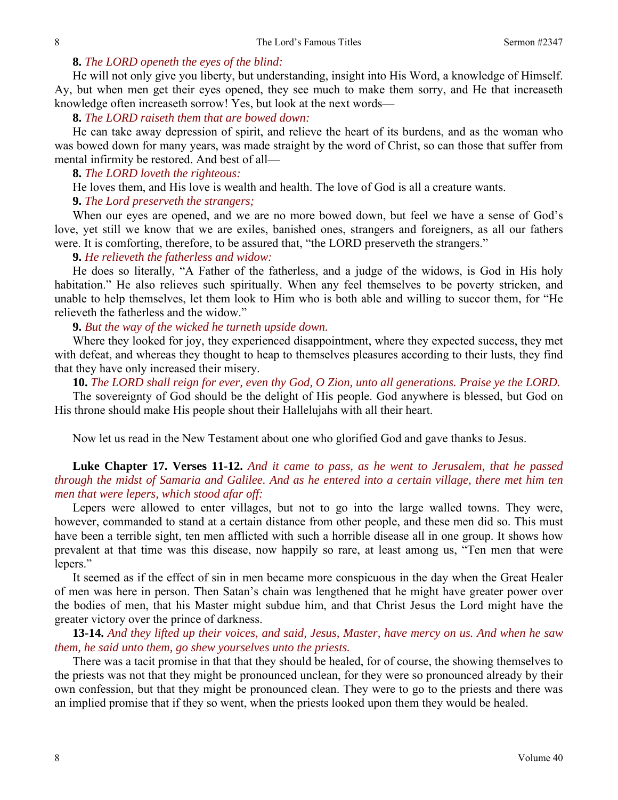## **8.** *The LORD openeth the eyes of the blind:*

He will not only give you liberty, but understanding, insight into His Word, a knowledge of Himself. Ay, but when men get their eyes opened, they see much to make them sorry, and He that increaseth knowledge often increaseth sorrow! Yes, but look at the next words—

## **8.** *The LORD raiseth them that are bowed down:*

He can take away depression of spirit, and relieve the heart of its burdens, and as the woman who was bowed down for many years, was made straight by the word of Christ, so can those that suffer from mental infirmity be restored. And best of all—

### **8.** *The LORD loveth the righteous:*

He loves them, and His love is wealth and health. The love of God is all a creature wants.

### **9.** *The Lord preserveth the strangers;*

When our eyes are opened, and we are no more bowed down, but feel we have a sense of God's love, yet still we know that we are exiles, banished ones, strangers and foreigners, as all our fathers were. It is comforting, therefore, to be assured that, "the LORD preserveth the strangers."

## **9.** *He relieveth the fatherless and widow:*

He does so literally, "A Father of the fatherless, and a judge of the widows, is God in His holy habitation." He also relieves such spiritually. When any feel themselves to be poverty stricken, and unable to help themselves, let them look to Him who is both able and willing to succor them, for "He relieveth the fatherless and the widow."

## **9.** *But the way of the wicked he turneth upside down.*

Where they looked for joy, they experienced disappointment, where they expected success, they met with defeat, and whereas they thought to heap to themselves pleasures according to their lusts, they find that they have only increased their misery.

**10.** *The LORD shall reign for ever, even thy God, O Zion, unto all generations. Praise ye the LORD.* 

The sovereignty of God should be the delight of His people. God anywhere is blessed, but God on His throne should make His people shout their Hallelujahs with all their heart.

Now let us read in the New Testament about one who glorified God and gave thanks to Jesus.

# **Luke Chapter 17. Verses 11-12.** *And it came to pass, as he went to Jerusalem, that he passed through the midst of Samaria and Galilee. And as he entered into a certain village, there met him ten men that were lepers, which stood afar off:*

Lepers were allowed to enter villages, but not to go into the large walled towns. They were, however, commanded to stand at a certain distance from other people, and these men did so. This must have been a terrible sight, ten men afflicted with such a horrible disease all in one group. It shows how prevalent at that time was this disease, now happily so rare, at least among us, "Ten men that were lepers."

It seemed as if the effect of sin in men became more conspicuous in the day when the Great Healer of men was here in person. Then Satan's chain was lengthened that he might have greater power over the bodies of men, that his Master might subdue him, and that Christ Jesus the Lord might have the greater victory over the prince of darkness.

**13-14.** *And they lifted up their voices, and said, Jesus, Master, have mercy on us. And when he saw them, he said unto them, go shew yourselves unto the priests.* 

There was a tacit promise in that that they should be healed, for of course, the showing themselves to the priests was not that they might be pronounced unclean, for they were so pronounced already by their own confession, but that they might be pronounced clean. They were to go to the priests and there was an implied promise that if they so went, when the priests looked upon them they would be healed.